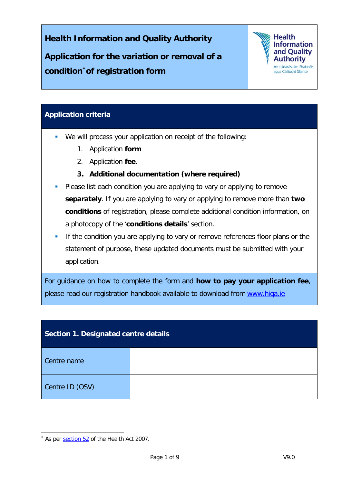**Health Information and Quality Authority**

**Application for the variation or removal of a condition[\\*o](#page-0-0)f registration form** 



## **Application criteria**

- We will process your application on receipt of the following:
	- 1. Application **form**
	- 2. Application **fee**.
	- **3. Additional documentation (where required)**
- **Please list each condition you are applying to vary or applying to remove separately**. If you are applying to vary or applying to remove more than **two conditions** of registration, please complete additional condition information, on a photocopy of the '**conditions details**' section.
- If the condition you are applying to vary or remove references floor plans or the statement of purpose, these updated documents must be submitted with your application.

For guidance on how to complete the form and **how to pay your application fee**, please read our registration handbook available to download from www.hiqa.ie

| Section 1. Designated centre details |  |  |
|--------------------------------------|--|--|
| Centre name                          |  |  |
| Centre ID (OSV)                      |  |  |

<span id="page-0-0"></span><sup>\*</sup> As per [section 52](http://www.irishstatutebook.ie/eli/2007/act/23/section/52/enacted/en/html) of the Health Act 2007.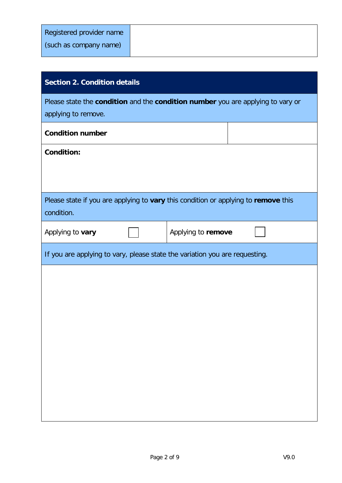| <b>Section 2. Condition details</b>                                                                    |  |  |  |  |
|--------------------------------------------------------------------------------------------------------|--|--|--|--|
| Please state the condition and the condition number you are applying to vary or<br>applying to remove. |  |  |  |  |
| <b>Condition number</b>                                                                                |  |  |  |  |
| <b>Condition:</b>                                                                                      |  |  |  |  |
|                                                                                                        |  |  |  |  |
| Please state if you are applying to vary this condition or applying to remove this<br>condition.       |  |  |  |  |
| Applying to remove<br>Applying to vary                                                                 |  |  |  |  |
| If you are applying to vary, please state the variation you are requesting.                            |  |  |  |  |
|                                                                                                        |  |  |  |  |
|                                                                                                        |  |  |  |  |
|                                                                                                        |  |  |  |  |
|                                                                                                        |  |  |  |  |
|                                                                                                        |  |  |  |  |
|                                                                                                        |  |  |  |  |
|                                                                                                        |  |  |  |  |
|                                                                                                        |  |  |  |  |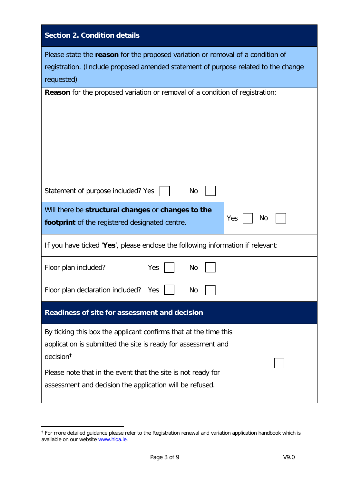| <b>Section 2. Condition details</b>                                                                                                                                                                                                                                                    |  |  |  |
|----------------------------------------------------------------------------------------------------------------------------------------------------------------------------------------------------------------------------------------------------------------------------------------|--|--|--|
| Please state the reason for the proposed variation or removal of a condition of<br>registration. (Include proposed amended statement of purpose related to the change<br>requested)                                                                                                    |  |  |  |
| <b>Reason</b> for the proposed variation or removal of a condition of registration:                                                                                                                                                                                                    |  |  |  |
| Statement of purpose included? Yes<br><b>No</b>                                                                                                                                                                                                                                        |  |  |  |
| Will there be structural changes or changes to the<br>Yes<br>No<br><b>footprint</b> of the registered designated centre.                                                                                                                                                               |  |  |  |
| If you have ticked 'Yes', please enclose the following information if relevant:                                                                                                                                                                                                        |  |  |  |
| Floor plan included?<br>Yes<br>No                                                                                                                                                                                                                                                      |  |  |  |
| Floor plan declaration included?<br>No<br>Yes                                                                                                                                                                                                                                          |  |  |  |
| Readiness of site for assessment and decision                                                                                                                                                                                                                                          |  |  |  |
| By ticking this box the applicant confirms that at the time this<br>application is submitted the site is ready for assessment and<br>decision <sup>t</sup><br>Please note that in the event that the site is not ready for<br>assessment and decision the application will be refused. |  |  |  |

<span id="page-2-0"></span> $\overline{a}$ † For more detailed guidance please refer to the Registration renewal and variation application handbook which is available on our website [www.hiqa.ie.](http://www.hiqa.ie/)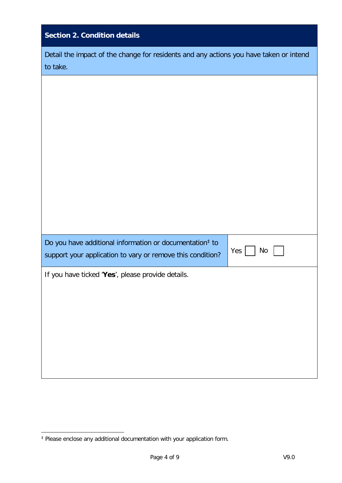| <b>Section 2. Condition details</b>                                                                                                                    |  |  |  |
|--------------------------------------------------------------------------------------------------------------------------------------------------------|--|--|--|
| Detail the impact of the change for residents and any actions you have taken or intend<br>to take.                                                     |  |  |  |
|                                                                                                                                                        |  |  |  |
|                                                                                                                                                        |  |  |  |
|                                                                                                                                                        |  |  |  |
|                                                                                                                                                        |  |  |  |
|                                                                                                                                                        |  |  |  |
|                                                                                                                                                        |  |  |  |
| Do you have additional information or documentation <sup>‡</sup> to<br>Yes $\vert$<br>No<br>support your application to vary or remove this condition? |  |  |  |
| If you have ticked 'Yes', please provide details.                                                                                                      |  |  |  |
|                                                                                                                                                        |  |  |  |
|                                                                                                                                                        |  |  |  |
|                                                                                                                                                        |  |  |  |
|                                                                                                                                                        |  |  |  |

 $\overline{a}$ 

<span id="page-3-0"></span><sup>‡</sup> Please enclose any additional documentation with your application form.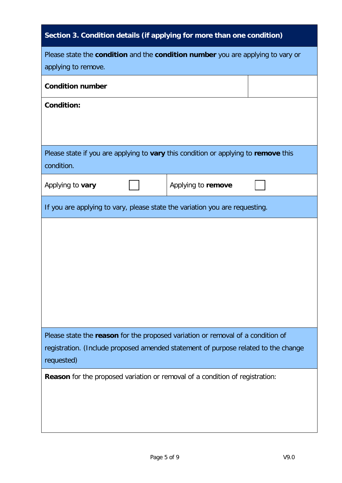| Section 3. Condition details (if applying for more than one condition) |                                                                                     |  |
|------------------------------------------------------------------------|-------------------------------------------------------------------------------------|--|
| applying to remove.                                                    | Please state the condition and the condition number you are applying to vary or     |  |
| <b>Condition number</b>                                                |                                                                                     |  |
| <b>Condition:</b>                                                      |                                                                                     |  |
| condition.                                                             | Please state if you are applying to vary this condition or applying to remove this  |  |
| Applying to vary                                                       | Applying to remove                                                                  |  |
|                                                                        | If you are applying to vary, please state the variation you are requesting.         |  |
|                                                                        | Please state the reason for the proposed variation or removal of a condition of     |  |
|                                                                        | registration. (Include proposed amended statement of purpose related to the change  |  |
| requested)                                                             |                                                                                     |  |
|                                                                        | <b>Reason</b> for the proposed variation or removal of a condition of registration: |  |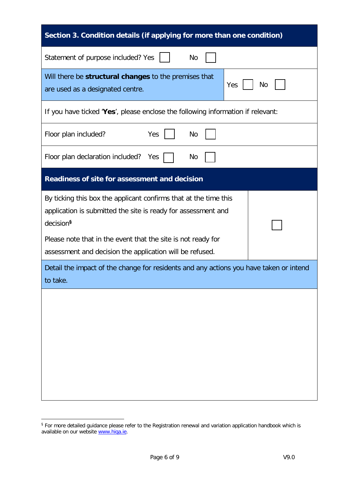| Section 3. Condition details (if applying for more than one condition)                                                                                                                                                     |  |  |  |
|----------------------------------------------------------------------------------------------------------------------------------------------------------------------------------------------------------------------------|--|--|--|
| Statement of purpose included? Yes<br>No                                                                                                                                                                                   |  |  |  |
| Will there be structural changes to the premises that<br><b>Yes</b><br>No<br>are used as a designated centre.                                                                                                              |  |  |  |
| If you have ticked 'Yes', please enclose the following information if relevant:                                                                                                                                            |  |  |  |
| Yes<br>Floor plan included?<br><b>No</b>                                                                                                                                                                                   |  |  |  |
| Floor plan declaration included? Yes<br>No                                                                                                                                                                                 |  |  |  |
| Readiness of site for assessment and decision                                                                                                                                                                              |  |  |  |
| By ticking this box the applicant confirms that at the time this<br>application is submitted the site is ready for assessment and<br>decision <sup>§</sup><br>Please note that in the event that the site is not ready for |  |  |  |
| assessment and decision the application will be refused.                                                                                                                                                                   |  |  |  |
| Detail the impact of the change for residents and any actions you have taken or intend<br>to take.                                                                                                                         |  |  |  |
|                                                                                                                                                                                                                            |  |  |  |

**.** 

<span id="page-5-0"></span><sup>§</sup> For more detailed guidance please refer to the Registration renewal and variation application handbook which is available on our website <u>www.hiqa.ie</u>.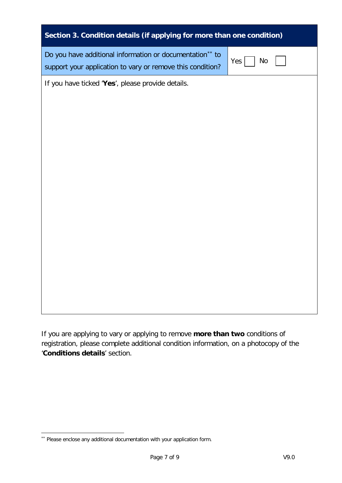| Section 3. Condition details (if applying for more than one condition)                                                                                   |  |  |  |  |
|----------------------------------------------------------------------------------------------------------------------------------------------------------|--|--|--|--|
| Do you have additional information or documentation <sup>**</sup> to<br><b>No</b><br>Yes  <br>support your application to vary or remove this condition? |  |  |  |  |
| If you have ticked 'Yes', please provide details.                                                                                                        |  |  |  |  |
|                                                                                                                                                          |  |  |  |  |
|                                                                                                                                                          |  |  |  |  |
|                                                                                                                                                          |  |  |  |  |
|                                                                                                                                                          |  |  |  |  |
|                                                                                                                                                          |  |  |  |  |
|                                                                                                                                                          |  |  |  |  |
|                                                                                                                                                          |  |  |  |  |
|                                                                                                                                                          |  |  |  |  |
|                                                                                                                                                          |  |  |  |  |
|                                                                                                                                                          |  |  |  |  |
|                                                                                                                                                          |  |  |  |  |

If you are applying to vary or applying to remove **more than two** conditions of registration, please complete additional condition information, on a photocopy of the '**Conditions details**' section.

**.** 

<span id="page-6-0"></span><sup>\*\*</sup> Please enclose any additional documentation with your application form.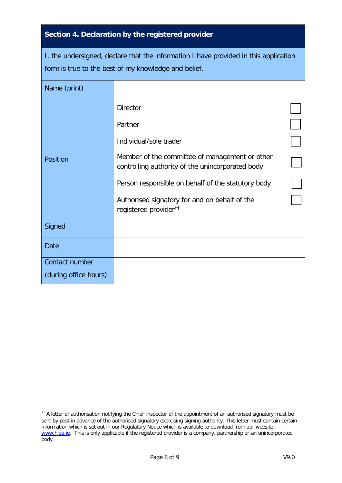## **Section 4. Declaration by the registered provider**

| I, the undersigned, declare that the information I have provided in this application |  |
|--------------------------------------------------------------------------------------|--|
| form is true to the best of my knowledge and belief.                                 |  |

| Name (print)          |                                                                                                    |  |
|-----------------------|----------------------------------------------------------------------------------------------------|--|
|                       | <b>Director</b>                                                                                    |  |
|                       | Partner                                                                                            |  |
|                       | Individual/sole trader                                                                             |  |
| Position              | Member of the committee of management or other<br>controlling authority of the unincorporated body |  |
|                       | Person responsible on behalf of the statutory body                                                 |  |
|                       | Authorised signatory for and on behalf of the<br>registered provider <sup>††</sup>                 |  |
| Signed                |                                                                                                    |  |
| <b>Date</b>           |                                                                                                    |  |
| Contact number        |                                                                                                    |  |
| (during office hours) |                                                                                                    |  |

<span id="page-7-0"></span> <sup>††</sup> A letter of authorisation notifying the Chief Inspector of the appointment of an authorised signatory must be sent by post in advance of the authorised signatory exercising signing authority. This letter must contain certain information which is set out in our Regulatory Notice which is available to download from our website [www.hiqa.ie.](http://www.hiqa.ie/) This is only applicable if the registered provider is a company, partnership or an unincorporated body.